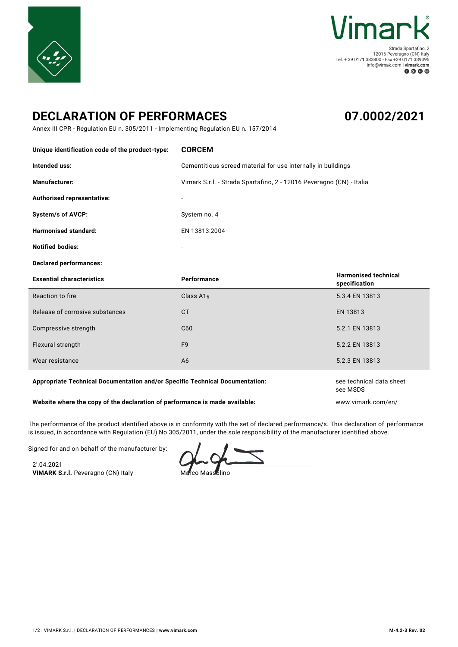



Strada Spartafino, 2 = 12016 Peveragno (CN) Italy<br>Tel. + 39 0171 383800 - Fax +39 0171 339395 info@vimak.com | vimark.com  $0 0 0 0$ 

## **DECLARATION OF PERFORMACES**

## **07.0002/2021**

Annex III CPR - Regulation EU n. 305/2011 - Implementing Regulation EU n. 157/2014

| Unique identification code of the product-type: | <b>CORCEM</b>                                                        |                                              |
|-------------------------------------------------|----------------------------------------------------------------------|----------------------------------------------|
| Intended uss:                                   | Cementitious screed material for use internally in buildings         |                                              |
| Manufacturer:                                   | Vimark S.r.l. - Strada Spartafino, 2 - 12016 Peveragno (CN) - Italia |                                              |
| Authorised representative:                      | $\overline{\phantom{a}}$                                             |                                              |
| <b>System/s of AVCP:</b>                        | System no. 4                                                         |                                              |
| <b>Harmonised standard:</b>                     | EN 13813:2004                                                        |                                              |
| <b>Notified bodies:</b>                         |                                                                      |                                              |
|                                                 |                                                                      |                                              |
| <b>Declared performances:</b>                   |                                                                      |                                              |
| <b>Essential characteristics</b>                | Performance                                                          | <b>Harmonised technical</b><br>specification |
| Reaction to fire                                | Class A <sub>1fl</sub>                                               | 5.3.4 EN 13813                               |
| Release of corrosive substances                 | <b>CT</b>                                                            | EN 13813                                     |
| Compressive strength                            | C <sub>60</sub>                                                      | 5.2.1 EN 13813                               |
| Flexural strength                               | F <sub>9</sub>                                                       | 5.2.2 EN 13813                               |

## Appropriate Technical Documentation and/or Specific Technical Documentation: see technical data sheet

## **Website where the copy of the declaration of performance is made available:** www.vimark.com/en/

The performance of the product identified above is in conformity with the set of declared performance/s. This declaration of performance is issued, in accordance with Regulation (EU) No 305/2011, under the sole responsibility of the manufacturer identified above.

Signed for and on behalf of the manufacturer by:

2'.04.2021 **VIMARK S.r.l.** Peveragno (CN) Italy

 $\sim$ 

Marco Massolino

see MSDS